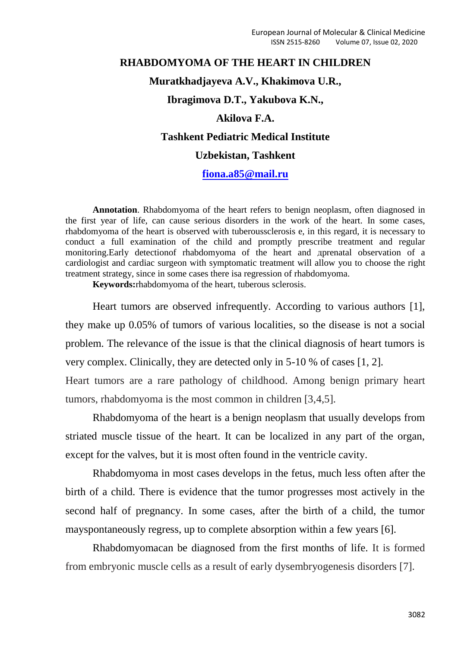# **RHABDOMYOMA OF THE HEART IN CHILDREN Muratkhadjayeva A.V., Khakimova U.R., Ibragimova D.T., Yakubova K.N., Akilova F.A. Tashkent Pediatric Medical Institute**

# **Uzbekistan, Tashkent**

### **[fiona.a85@mail.ru](mailto:fiona.a85@mail.ru)**

**Annotation**. Rhabdomyoma of the heart refers to benign neoplasm, often diagnosed in the first year of life, can cause serious disorders in the work of the heart. In some cases, rhabdomyoma of the heart is observed with tuberoussclerosis e, in this regard, it is necessary to conduct a full examination of the child and promptly prescribe treatment and regular monitoring.Early detectionof rhabdomyoma of the heart and дprenatal observation of a cardiologist and cardiac surgeon with symptomatic treatment will allow you to choose the right treatment strategy, since in some cases there isa regression of rhabdomyoma.

**Keywords:**rhabdomyoma of the heart, tuberous sclerosis.

Heart tumors are observed infrequently. According to various authors [1], they make up 0.05% of tumors of various localities, so the disease is not a social problem. The relevance of the issue is that the clinical diagnosis of heart tumors is very complex. Clinically, they are detected only in 5-10 % of cases [1, 2]. Heart tumors are a rare pathology of childhood. Among benign primary heart tumors, rhabdomyoma is the most common in children [3,4,5].

Rhabdomyoma of the heart is a benign neoplasm that usually develops from striated muscle tissue of the heart. It can be localized in any part of the organ, except for the valves, but it is most often found in the ventricle cavity.

Rhabdomyoma in most cases develops in the fetus, much less often after the birth of a child. There is evidence that the tumor progresses most actively in the second half of pregnancy. In some cases, after the birth of a child, the tumor mayspontaneously regress, up to complete absorption within a few years [6].

Rhabdomyomacan be diagnosed from the first months of life. It is formed from embryonic muscle cells as a result of early dysembryogenesis disorders [7].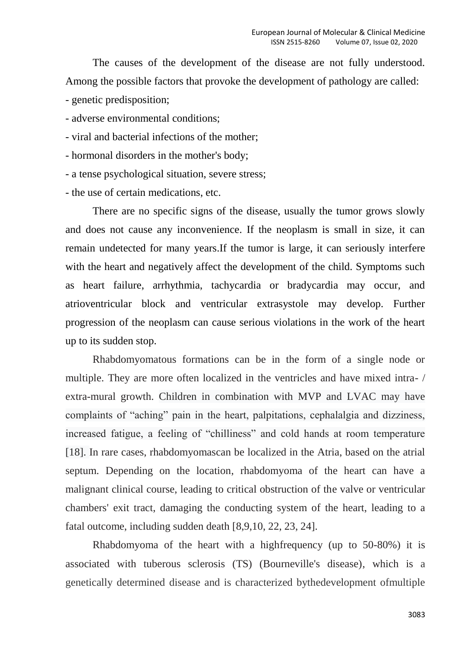The causes of the development of the disease are not fully understood. Among the possible factors that provoke the development of pathology are called:

- genetic predisposition;
- adverse environmental conditions;
- viral and bacterial infections of the mother;
- hormonal disorders in the mother's body;
- a tense psychological situation, severe stress;
- the use of certain medications, etc.

There are no specific signs of the disease, usually the tumor grows slowly and does not cause any inconvenience. If the neoplasm is small in size, it can remain undetected for many years.If the tumor is large, it can seriously interfere with the heart and negatively affect the development of the child. Symptoms such as heart failure, arrhythmia, tachycardia or bradycardia may occur, and atrioventricular block and ventricular extrasystole may develop. Further progression of the neoplasm can cause serious violations in the work of the heart up to its sudden stop.

Rhabdomyomatous formations can be in the form of a single node or multiple. They are more often localized in the ventricles and have mixed intra- / extra-mural growth. Children in combination with MVP and LVAC may have complaints of "aching" pain in the heart, palpitations, cephalalgia and dizziness, increased fatigue, a feeling of "chilliness" and cold hands at room temperature [18]. In rare cases, rhabdomyomascan be localized in the Atria, based on the atrial septum. Depending on the location, rhabdomyoma of the heart can have a malignant clinical course, leading to critical obstruction of the valve or ventricular chambers' exit tract, damaging the conducting system of the heart, leading to a fatal outcome, including sudden death [8,9,10, 22, 23, 24].

Rhabdomyoma of the heart with a highfrequency (up to 50-80%) it is associated with tuberous sclerosis (TS) (Bourneville's disease), which is a genetically determined disease and is characterized bythedevelopment ofmultiple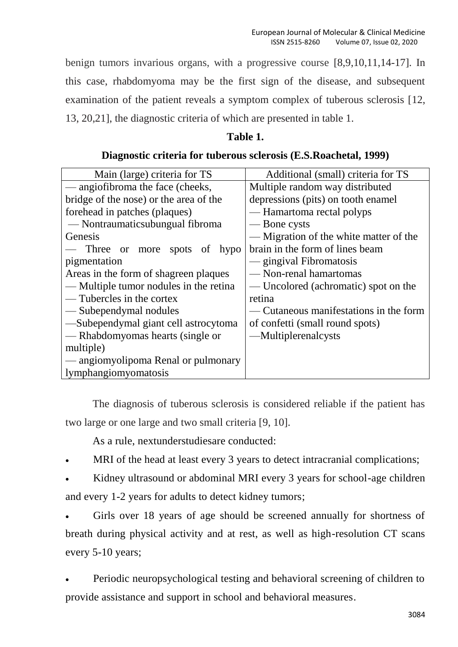benign tumors invarious organs, with a progressive course [8,9,10,11,14-17]. In this case, rhabdomyoma may be the first sign of the disease, and subsequent examination of the patient reveals a symptom complex of tuberous sclerosis [12, 13, 20,21], the diagnostic criteria of which are presented in table 1.

## **Table 1.**

## **Diagnostic criteria for tuberous sclerosis (E.S.Roachetal, 1999)**

| Main (large) criteria for TS           | Additional (small) criteria for TS     |
|----------------------------------------|----------------------------------------|
| — angiofibroma the face (cheeks,       | Multiple random way distributed        |
| bridge of the nose) or the area of the | depressions (pits) on tooth enamel     |
| forehead in patches (plaques)          | — Hamartoma rectal polyps              |
| — Nontraumaticsubungual fibroma        | — Bone cysts                           |
| Genesis                                | — Migration of the white matter of the |
| — Three or more spots<br>of hypo       | brain in the form of lines beam        |
| pigmentation                           | — gingival Fibromatosis                |
| Areas in the form of shagreen plaques  | -Non-renal hamartomas                  |
| — Multiple tumor nodules in the retina | — Uncolored (achromatic) spot on the   |
| — Tubercles in the cortex              | retina                                 |
| — Subependymal nodules                 | — Cutaneous manifestations in the form |
| -Subependymal giant cell astrocytoma   | of confetti (small round spots)        |
| — Rhabdomyomas hearts (single or       | —Multiplerenalcysts                    |
| multiple)                              |                                        |
| — angiomyolipoma Renal or pulmonary    |                                        |
| lymphangiomyomatosis                   |                                        |

The diagnosis of tuberous sclerosis is considered reliable if the patient has two large or one large and two small criteria [9, 10].

As a rule, nextunderstudiesare conducted:

MRI of the head at least every 3 years to detect intracranial complications;

 Kidney ultrasound or abdominal MRI every 3 years for school-age children and every 1-2 years for adults to detect kidney tumors;

 Girls over 18 years of age should be screened annually for shortness of breath during physical activity and at rest, as well as high-resolution CT scans every 5-10 years;

 Periodic neuropsychological testing and behavioral screening of children to provide assistance and support in school and behavioral measures.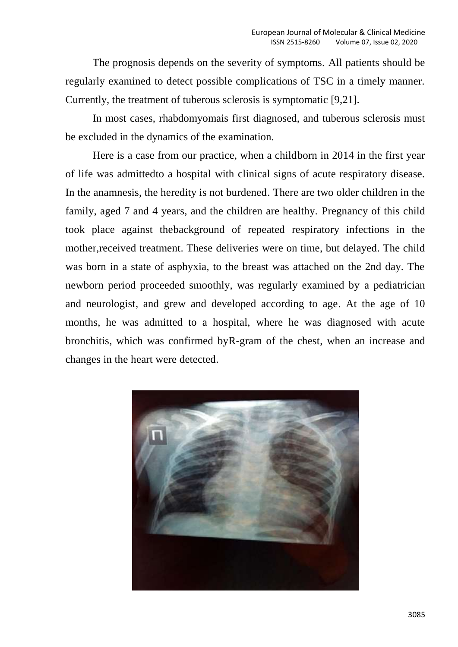The prognosis depends on the severity of symptoms. All patients should be regularly examined to detect possible complications of TSC in a timely manner. Currently, the treatment of tuberous sclerosis is symptomatic [9,21].

In most cases, rhabdomyomais first diagnosed, and tuberous sclerosis must be excluded in the dynamics of the examination.

Here is a case from our practice, when a childborn in 2014 in the first year of life was admittedto a hospital with clinical signs of acute respiratory disease. In the anamnesis, the heredity is not burdened. There are two older children in the family, aged 7 and 4 years, and the children are healthy. Pregnancy of this child took place against thebackground of repeated respiratory infections in the mother,received treatment. These deliveries were on time, but delayed. The child was born in a state of asphyxia, to the breast was attached on the 2nd day. The newborn period proceeded smoothly, was regularly examined by a pediatrician and neurologist, and grew and developed according to age. At the age of 10 months, he was admitted to a hospital, where he was diagnosed with acute bronchitis, which was confirmed byR-gram of the chest, when an increase and changes in the heart were detected.

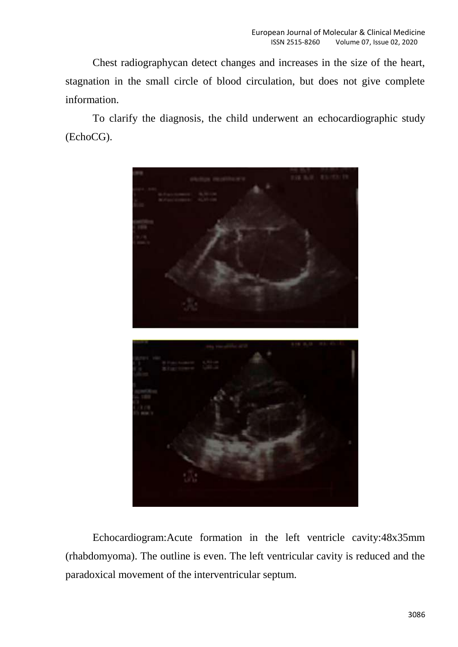Chest radiographycan detect changes and increases in the size of the heart, stagnation in the small circle of blood circulation, but does not give complete information.

To clarify the diagnosis, the child underwent an echocardiographic study (EchoCG).



Echocardiogram:Acute formation in the left ventricle cavity:48x35mm (rhabdomyoma). The outline is even. The left ventricular cavity is reduced and the paradoxical movement of the interventricular septum.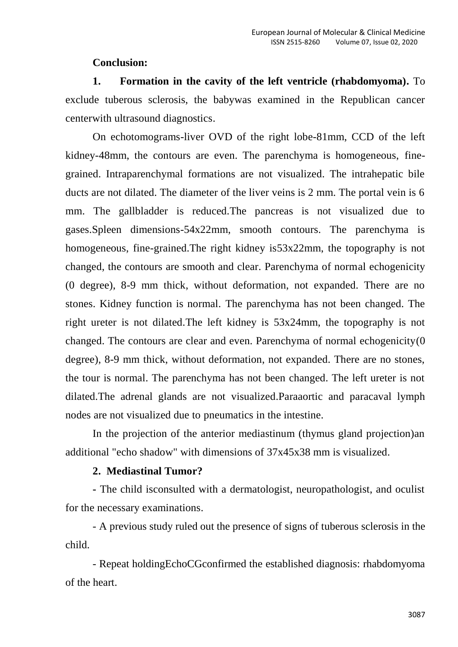### **Conclusion:**

**1. Formation in the cavity of the left ventricle (rhabdomyoma).** To exclude tuberous sclerosis, the babywas examined in the Republican cancer centerwith ultrasound diagnostics.

On echotomograms-liver OVD of the right lobe-81mm, CCD of the left kidney-48mm, the contours are even. The parenchyma is homogeneous, finegrained. Intraparenchymal formations are not visualized. The intrahepatic bile ducts are not dilated. The diameter of the liver veins is 2 mm. The portal vein is 6 mm. The gallbladder is reduced.The pancreas is not visualized due to gases.Spleen dimensions-54x22mm, smooth contours. The parenchyma is homogeneous, fine-grained. The right kidney is 53x22mm, the topography is not changed, the contours are smooth and clear. Parenchyma of normal echogenicity (0 degree), 8-9 mm thick, without deformation, not expanded. There are no stones. Kidney function is normal. The parenchyma has not been changed. The right ureter is not dilated.The left kidney is 53x24mm, the topography is not changed. The contours are clear and even. Parenchyma of normal echogenicity(0 degree), 8-9 mm thick, without deformation, not expanded. There are no stones, the tour is normal. The parenchyma has not been changed. The left ureter is not dilated.The adrenal glands are not visualized.Paraaortic and paracaval lymph nodes are not visualized due to pneumatics in the intestine.

In the projection of the anterior mediastinum (thymus gland projection)an additional "echo shadow" with dimensions of 37x45x38 mm is visualized.

# **2. Mediastinal Tumor?**

**-** The child isconsulted with a dermatologist, neuropathologist, and oculist for the necessary examinations.

- A previous study ruled out the presence of signs of tuberous sclerosis in the child.

- Repeat holdingEchoCGconfirmed the established diagnosis: rhabdomyoma of the heart.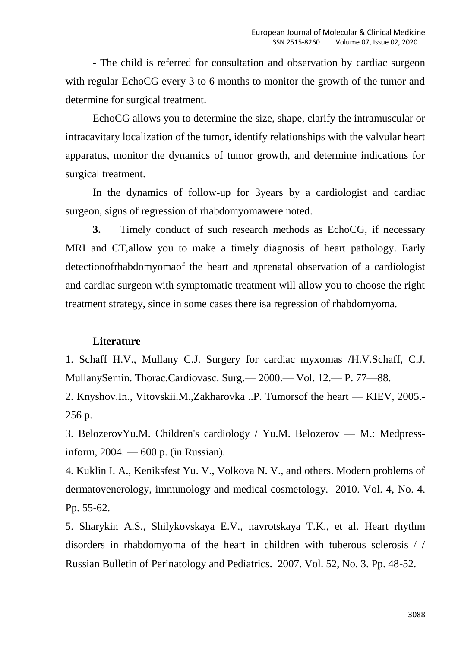- The child is referred for consultation and observation by cardiac surgeon with regular EchoCG every 3 to 6 months to monitor the growth of the tumor and determine for surgical treatment.

EchoCG allows you to determine the size, shape, clarify the intramuscular or intracavitary localization of the tumor, identify relationships with the valvular heart apparatus, monitor the dynamics of tumor growth, and determine indications for surgical treatment.

In the dynamics of follow-up for 3years by a cardiologist and cardiac surgeon, signs of regression of rhabdomyomawere noted.

**3.** Timely conduct of such research methods as EchoCG, if necessary MRI and CT,allow you to make a timely diagnosis of heart pathology. Early detectionofrhabdomyomaof the heart and дprenatal observation of a cardiologist and cardiac surgeon with symptomatic treatment will allow you to choose the right treatment strategy, since in some cases there isa regression of rhabdomyoma.

### **Literature**

1. Schaff H.V., Mullany C.J. Surgery for cardiac myxomas /H.V.Schaff, C.J. MullanySemin. Thorac.Cardiovasc. Surg.— 2000.— Vol. 12.— P. 77—88.

2. Knyshov.In., Vitovskii.M.,Zakharovka ..P. Tumorsof the heart — KIEV, 2005.- 256 p.

3. BelozerovYu.M. Children's cardiology / Yu.M. Belozerov — M.: Medpressinform, 2004. — 600 p. (in Russian).

4. Kuklin I. A., Keniksfest Yu. V., Volkova N. V., and others. Modern problems of dermatovenerology, immunology and medical cosmetology. 2010. Vol. 4, No. 4. Pp. 55-62.

5. Sharykin A.S., Shilykovskaya E.V., navrotskaya T.K., et al. Heart rhythm disorders in rhabdomyoma of the heart in children with tuberous sclerosis / / Russian Bulletin of Perinatology and Pediatrics. 2007. Vol. 52, No. 3. Pp. 48-52.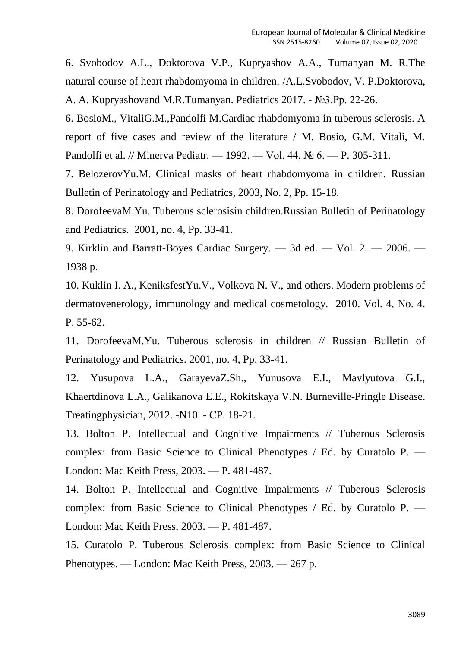6. Svobodov A.L., Doktorova V.P., Kupryashov A.A., Tumanyan M. R.The natural course of heart rhabdomyoma in children. /A.L.Svobodov, V. P.Doktorova, A. A. Kupryashovand M.R.Tumanyan. Pediatrics 2017. - №3.Pp. 22-26.

6. BosioM., VitaliG.M.,Pandolfi M.Cardiac rhabdomyoma in tuberous sclerosis. A report of five cases and review of the literature / M. Bosio, G.M. Vitali, M. Pandolfi et al. // Minerva Pediatr. — 1992. — Vol. 44, № 6. — P. 305-311.

7. BelozerovYu.M. Clinical masks of heart rhabdomyoma in children. Russian Bulletin of Perinatology and Pediatrics, 2003, No. 2, Pp. 15-18.

8. DorofeevaM.Yu. Tuberous sclerosisin children.Russian Bulletin of Perinatology and Pediatrics. 2001, no. 4, Pp. 33-41.

9. Kirklin and Barratt-Boyes Cardiac Surgery. — 3d ed. — Vol. 2. — 2006. — 1938 p.

10. Kuklin I. A., KeniksfestYu.V., Volkova N. V., and others. Modern problems of dermatovenerology, immunology and medical cosmetology. 2010. Vol. 4, No. 4. P. 55-62.

11. DorofeevaM.Yu. Tuberous sclerosis in children // Russian Bulletin of Perinatology and Pediatrics. 2001, no. 4, Pp. 33-41.

12. Yusupova L.A., GarayevaZ.Sh., Yunusova E.I., Mavlyutova G.I., Khaertdinova L.A., Galikanova E.E., Rokitskaya V.N. Burneville-Pringle Disease. Treatingphysician, 2012. -N10. - СP. 18-21.

13. Bolton P. Intellectual and Cognitive Impairments // Tuberous Sclerosis complex: from Basic Science to Clinical Phenotypes / Ed. by Curatolo P. — London: Mac Keith Press, 2003. — P. 481-487.

14. Bolton P. Intellectual and Cognitive Impairments // Tuberous Sclerosis complex: from Basic Science to Clinical Phenotypes / Ed. by Curatolo P. — London: Mac Keith Press, 2003. — P. 481-487.

15. Curatolo P. Tuberous Sclerosis complex: from Basic Science to Clinical Phenotypes. — London: Mac Keith Press, 2003. — 267 p.